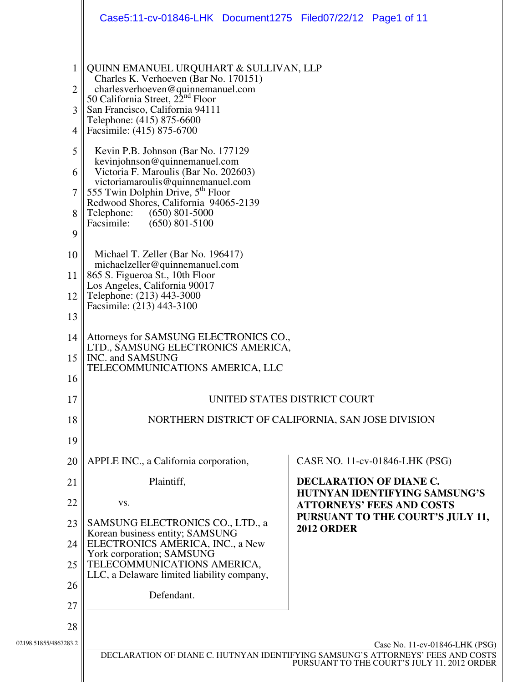|                                                                                 | Case5:11-cv-01846-LHK Document1275 Filed07/22/12 Page1 of 11                                                                                                                                                                                                                                                                                                                                                                                                                                                                                                                                                                                                                                     |                                                                                                                                                                  |
|---------------------------------------------------------------------------------|--------------------------------------------------------------------------------------------------------------------------------------------------------------------------------------------------------------------------------------------------------------------------------------------------------------------------------------------------------------------------------------------------------------------------------------------------------------------------------------------------------------------------------------------------------------------------------------------------------------------------------------------------------------------------------------------------|------------------------------------------------------------------------------------------------------------------------------------------------------------------|
| 1<br>$\overline{2}$<br>3<br>4<br>5<br>6<br>$\overline{7}$<br>8<br>9<br>10<br>11 | QUINN EMANUEL URQUHART & SULLIVAN, LLP<br>Charles K. Verhoeven (Bar No. 170151)<br>charlesverhoeven@quinnemanuel.com<br>50 California Street, 22 <sup>nd</sup> Floor<br>San Francisco, California 94111<br>Telephone: (415) 875-6600<br>Facsimile: (415) 875-6700<br>Kevin P.B. Johnson (Bar No. 177129)<br>kevinjohnson@quinnemanuel.com<br>Victoria F. Maroulis (Bar No. 202603)<br>victoriamaroulis@quinnemanuel.com<br>555 Twin Dolphin Drive, 5 <sup>th</sup> Floor<br>Redwood Shores, California 94065-2139<br>Telephone:<br>$(650)$ 801-5000<br>Facsimile:<br>$(650)$ 801-5100<br>Michael T. Zeller (Bar No. 196417)<br>michaelzeller@quinnemanuel.com<br>865 S. Figueroa St., 10th Floor |                                                                                                                                                                  |
| 12                                                                              | Los Angeles, California 90017<br>Telephone: (213) 443-3000<br>Facsimile: (213) 443-3100                                                                                                                                                                                                                                                                                                                                                                                                                                                                                                                                                                                                          |                                                                                                                                                                  |
| 13                                                                              |                                                                                                                                                                                                                                                                                                                                                                                                                                                                                                                                                                                                                                                                                                  |                                                                                                                                                                  |
| 14<br>15                                                                        | Attorneys for SAMSUNG ELECTRONICS CO.,<br>LTD., SAMSUNG ELECTRONICS AMERICA,<br>INC. and SAMSUNG                                                                                                                                                                                                                                                                                                                                                                                                                                                                                                                                                                                                 |                                                                                                                                                                  |
| 16                                                                              | TELECOMMUNICATIONS AMERICA, LLC                                                                                                                                                                                                                                                                                                                                                                                                                                                                                                                                                                                                                                                                  |                                                                                                                                                                  |
| 17                                                                              |                                                                                                                                                                                                                                                                                                                                                                                                                                                                                                                                                                                                                                                                                                  | UNITED STATES DISTRICT COURT                                                                                                                                     |
| 18                                                                              | NORTHERN DISTRICT OF CALIFORNIA, SAN JOSE DIVISION                                                                                                                                                                                                                                                                                                                                                                                                                                                                                                                                                                                                                                               |                                                                                                                                                                  |
| 19                                                                              |                                                                                                                                                                                                                                                                                                                                                                                                                                                                                                                                                                                                                                                                                                  |                                                                                                                                                                  |
| 20                                                                              | APPLE INC., a California corporation,                                                                                                                                                                                                                                                                                                                                                                                                                                                                                                                                                                                                                                                            | CASE NO. 11-cv-01846-LHK (PSG)                                                                                                                                   |
| 21                                                                              | Plaintiff,                                                                                                                                                                                                                                                                                                                                                                                                                                                                                                                                                                                                                                                                                       | <b>DECLARATION OF DIANE C.</b>                                                                                                                                   |
| 22                                                                              | VS.                                                                                                                                                                                                                                                                                                                                                                                                                                                                                                                                                                                                                                                                                              | HUTNYAN IDENTIFYING SAMSUNG'S<br><b>ATTORNEYS' FEES AND COSTS</b>                                                                                                |
| 23                                                                              | SAMSUNG ELECTRONICS CO., LTD., a                                                                                                                                                                                                                                                                                                                                                                                                                                                                                                                                                                                                                                                                 | PURSUANT TO THE COURT'S JULY 11,                                                                                                                                 |
| 24                                                                              | Korean business entity; SAMSUNG<br>ELECTRONICS AMERICA, INC., a New                                                                                                                                                                                                                                                                                                                                                                                                                                                                                                                                                                                                                              | <b>2012 ORDER</b>                                                                                                                                                |
| 25                                                                              | York corporation; SAMSUNG<br>TELECOMMUNICATIONS AMERICA,                                                                                                                                                                                                                                                                                                                                                                                                                                                                                                                                                                                                                                         |                                                                                                                                                                  |
| 26                                                                              | LLC, a Delaware limited liability company,                                                                                                                                                                                                                                                                                                                                                                                                                                                                                                                                                                                                                                                       |                                                                                                                                                                  |
| 27                                                                              | Defendant.                                                                                                                                                                                                                                                                                                                                                                                                                                                                                                                                                                                                                                                                                       |                                                                                                                                                                  |
| 28                                                                              |                                                                                                                                                                                                                                                                                                                                                                                                                                                                                                                                                                                                                                                                                                  |                                                                                                                                                                  |
| 02198.51855/4867283.2                                                           |                                                                                                                                                                                                                                                                                                                                                                                                                                                                                                                                                                                                                                                                                                  | Case No. 11-cv-01846-LHK (PSG)<br>DECLARATION OF DIANE C. HUTNYAN IDENTIFYING SAMSUNG'S ATTORNEYS' FEES AND COSTS<br>PURSUANT TO THE COURT'S JULY 11, 2012 ORDER |
|                                                                                 |                                                                                                                                                                                                                                                                                                                                                                                                                                                                                                                                                                                                                                                                                                  |                                                                                                                                                                  |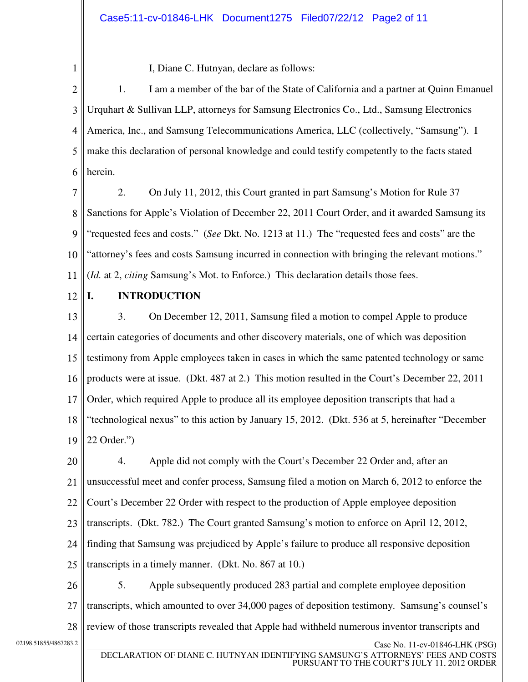1

I, Diane C. Hutnyan, declare as follows:

2 3 4 5 6 1. I am a member of the bar of the State of California and a partner at Quinn Emanuel Urquhart & Sullivan LLP, attorneys for Samsung Electronics Co., Ltd., Samsung Electronics America, Inc., and Samsung Telecommunications America, LLC (collectively, "Samsung"). I make this declaration of personal knowledge and could testify competently to the facts stated herein.

7 8 9 10 11 2. On July 11, 2012, this Court granted in part Samsung's Motion for Rule 37 Sanctions for Apple's Violation of December 22, 2011 Court Order, and it awarded Samsung its "requested fees and costs." (*See* Dkt. No. 1213 at 11.) The "requested fees and costs" are the "attorney's fees and costs Samsung incurred in connection with bringing the relevant motions." (*Id.* at 2, *citing* Samsung's Mot. to Enforce.) This declaration details those fees.

12

#### **I. INTRODUCTION**

13 14 15 16 17 18 19 3. On December 12, 2011, Samsung filed a motion to compel Apple to produce certain categories of documents and other discovery materials, one of which was deposition testimony from Apple employees taken in cases in which the same patented technology or same products were at issue. (Dkt. 487 at 2.) This motion resulted in the Court's December 22, 2011 Order, which required Apple to produce all its employee deposition transcripts that had a "technological nexus" to this action by January 15, 2012. (Dkt. 536 at 5, hereinafter "December 22 Order.")

20 21 22 23 24 25 4. Apple did not comply with the Court's December 22 Order and, after an unsuccessful meet and confer process, Samsung filed a motion on March 6, 2012 to enforce the Court's December 22 Order with respect to the production of Apple employee deposition transcripts. (Dkt. 782.) The Court granted Samsung's motion to enforce on April 12, 2012, finding that Samsung was prejudiced by Apple's failure to produce all responsive deposition transcripts in a timely manner. (Dkt. No. 867 at 10.)

26 27 28  $\text{Case No. 11-cv-01846-LHK (PSG)}$ 5. Apple subsequently produced 283 partial and complete employee deposition transcripts, which amounted to over 34,000 pages of deposition testimony. Samsung's counsel's review of those transcripts revealed that Apple had withheld numerous inventor transcripts and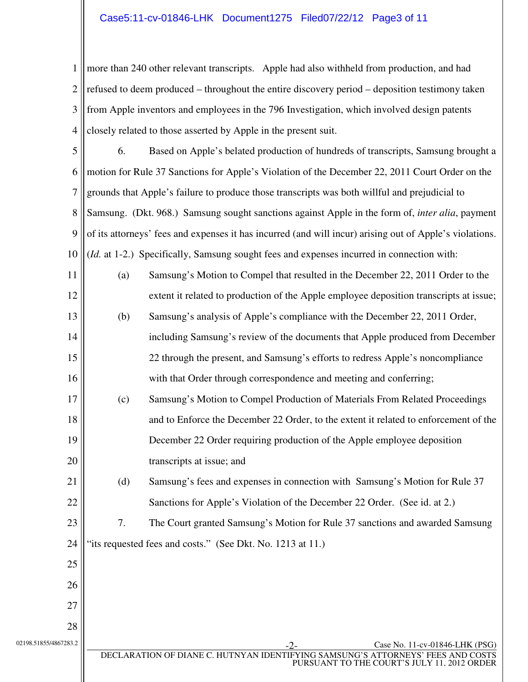#### Case5:11-cv-01846-LHK Document1275 Filed07/22/12 Page3 of 11

1 2 3 4 more than 240 other relevant transcripts. Apple had also withheld from production, and had refused to deem produced – throughout the entire discovery period – deposition testimony taken from Apple inventors and employees in the 796 Investigation, which involved design patents closely related to those asserted by Apple in the present suit.

5 6 7 8 9 10 6. Based on Apple's belated production of hundreds of transcripts, Samsung brought a motion for Rule 37 Sanctions for Apple's Violation of the December 22, 2011 Court Order on the grounds that Apple's failure to produce those transcripts was both willful and prejudicial to Samsung. (Dkt. 968.) Samsung sought sanctions against Apple in the form of, *inter alia*, payment of its attorneys' fees and expenses it has incurred (and will incur) arising out of Apple's violations. (*Id.* at 1-2.) Specifically, Samsung sought fees and expenses incurred in connection with:

11 12 13 14 15 16 17 18 19 20 (a) Samsung's Motion to Compel that resulted in the December 22, 2011 Order to the extent it related to production of the Apple employee deposition transcripts at issue; (b) Samsung's analysis of Apple's compliance with the December 22, 2011 Order, including Samsung's review of the documents that Apple produced from December 22 through the present, and Samsung's efforts to redress Apple's noncompliance with that Order through correspondence and meeting and conferring; (c) Samsung's Motion to Compel Production of Materials From Related Proceedings and to Enforce the December 22 Order, to the extent it related to enforcement of the December 22 Order requiring production of the Apple employee deposition transcripts at issue; and

21 22 (d) Samsung's fees and expenses in connection with Samsung's Motion for Rule 37 Sanctions for Apple's Violation of the December 22 Order. (See id. at 2.)

23 24 7. The Court granted Samsung's Motion for Rule 37 sanctions and awarded Samsung "its requested fees and costs." (See Dkt. No. 1213 at 11.)

27 28

25

26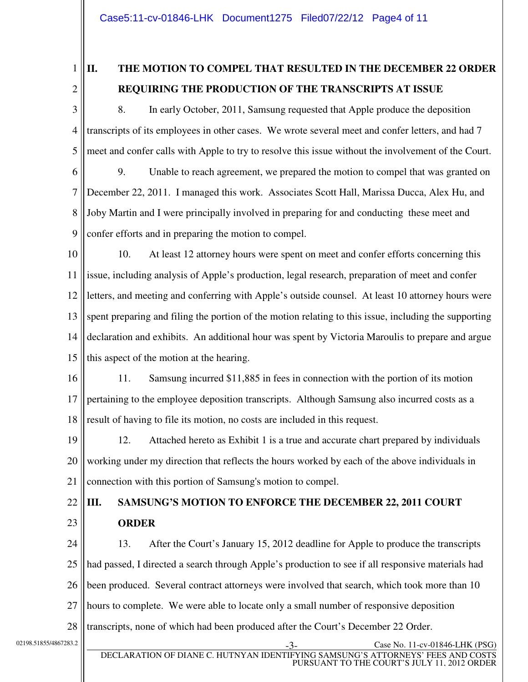1

2

## **II. THE MOTION TO COMPEL THAT RESULTED IN THE DECEMBER 22 ORDER REQUIRING THE PRODUCTION OF THE TRANSCRIPTS AT ISSUE**

3 4 5 6 8. In early October, 2011, Samsung requested that Apple produce the deposition transcripts of its employees in other cases. We wrote several meet and confer letters, and had 7 meet and confer calls with Apple to try to resolve this issue without the involvement of the Court. 9. Unable to reach agreement, we prepared the motion to compel that was granted on

7 8 9 December 22, 2011. I managed this work. Associates Scott Hall, Marissa Ducca, Alex Hu, and Joby Martin and I were principally involved in preparing for and conducting these meet and confer efforts and in preparing the motion to compel.

10 11 12 13 14 15 10. At least 12 attorney hours were spent on meet and confer efforts concerning this issue, including analysis of Apple's production, legal research, preparation of meet and confer letters, and meeting and conferring with Apple's outside counsel. At least 10 attorney hours were spent preparing and filing the portion of the motion relating to this issue, including the supporting declaration and exhibits. An additional hour was spent by Victoria Maroulis to prepare and argue this aspect of the motion at the hearing.

16 17 18 11. Samsung incurred \$11,885 in fees in connection with the portion of its motion pertaining to the employee deposition transcripts. Although Samsung also incurred costs as a result of having to file its motion, no costs are included in this request.

19 20 21 12. Attached hereto as Exhibit 1 is a true and accurate chart prepared by individuals working under my direction that reflects the hours worked by each of the above individuals in connection with this portion of Samsung's motion to compel.

#### 22 23 **III. SAMSUNG'S MOTION TO ENFORCE THE DECEMBER 22, 2011 COURT ORDER**

24 25 26 27 28 13. After the Court's January 15, 2012 deadline for Apple to produce the transcripts had passed, I directed a search through Apple's production to see if all responsive materials had been produced. Several contract attorneys were involved that search, which took more than 10 hours to complete. We were able to locate only a small number of responsive deposition transcripts, none of which had been produced after the Court's December 22 Order.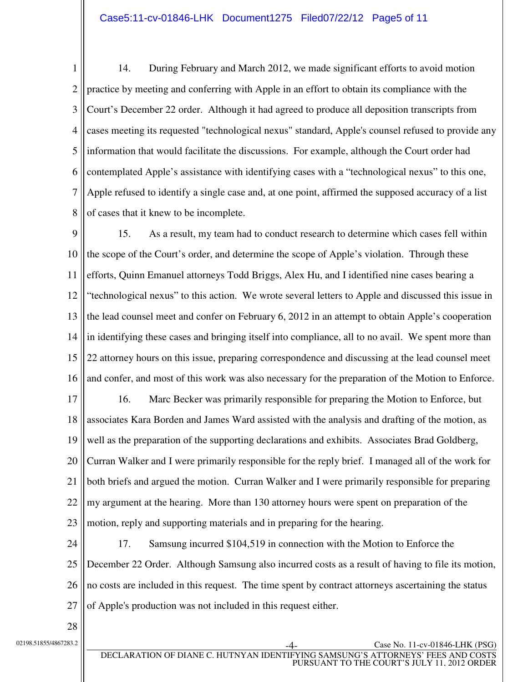1 2 3 4 5 6 7 8 14. During February and March 2012, we made significant efforts to avoid motion practice by meeting and conferring with Apple in an effort to obtain its compliance with the Court's December 22 order. Although it had agreed to produce all deposition transcripts from cases meeting its requested "technological nexus" standard, Apple's counsel refused to provide any information that would facilitate the discussions. For example, although the Court order had contemplated Apple's assistance with identifying cases with a "technological nexus" to this one, Apple refused to identify a single case and, at one point, affirmed the supposed accuracy of a list of cases that it knew to be incomplete.

9 10 11 12 13 14 15 16 15. As a result, my team had to conduct research to determine which cases fell within the scope of the Court's order, and determine the scope of Apple's violation. Through these efforts, Quinn Emanuel attorneys Todd Briggs, Alex Hu, and I identified nine cases bearing a "technological nexus" to this action. We wrote several letters to Apple and discussed this issue in the lead counsel meet and confer on February 6, 2012 in an attempt to obtain Apple's cooperation in identifying these cases and bringing itself into compliance, all to no avail. We spent more than 22 attorney hours on this issue, preparing correspondence and discussing at the lead counsel meet and confer, and most of this work was also necessary for the preparation of the Motion to Enforce.

17 18 19 20 21 22 23 16. Marc Becker was primarily responsible for preparing the Motion to Enforce, but associates Kara Borden and James Ward assisted with the analysis and drafting of the motion, as well as the preparation of the supporting declarations and exhibits. Associates Brad Goldberg, Curran Walker and I were primarily responsible for the reply brief. I managed all of the work for both briefs and argued the motion. Curran Walker and I were primarily responsible for preparing my argument at the hearing. More than 130 attorney hours were spent on preparation of the motion, reply and supporting materials and in preparing for the hearing.

24 25 26 27 17. Samsung incurred \$104,519 in connection with the Motion to Enforce the December 22 Order. Although Samsung also incurred costs as a result of having to file its motion, no costs are included in this request. The time spent by contract attorneys ascertaining the status of Apple's production was not included in this request either.

28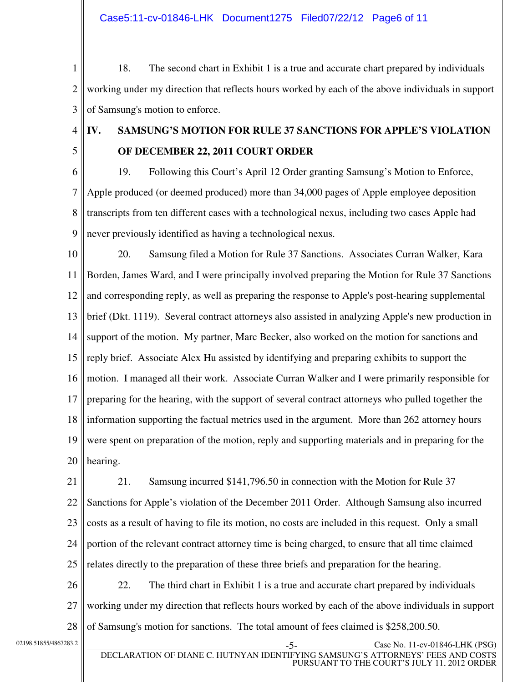Case5:11-cv-01846-LHK Document1275 Filed07/22/12 Page6 of 11

1 2 3 18. The second chart in Exhibit 1 is a true and accurate chart prepared by individuals working under my direction that reflects hours worked by each of the above individuals in support of Samsung's motion to enforce.

4

## **IV. SAMSUNG'S MOTION FOR RULE 37 SANCTIONS FOR APPLE'S VIOLATION OF DECEMBER 22, 2011 COURT ORDER**

5 6

7

9

8 19. Following this Court's April 12 Order granting Samsung's Motion to Enforce, Apple produced (or deemed produced) more than 34,000 pages of Apple employee deposition transcripts from ten different cases with a technological nexus, including two cases Apple had never previously identified as having a technological nexus.

10 11 12 13 14 15 16 17 18 19 20 20. Samsung filed a Motion for Rule 37 Sanctions. Associates Curran Walker, Kara Borden, James Ward, and I were principally involved preparing the Motion for Rule 37 Sanctions and corresponding reply, as well as preparing the response to Apple's post-hearing supplemental brief (Dkt. 1119). Several contract attorneys also assisted in analyzing Apple's new production in support of the motion. My partner, Marc Becker, also worked on the motion for sanctions and reply brief. Associate Alex Hu assisted by identifying and preparing exhibits to support the motion. I managed all their work. Associate Curran Walker and I were primarily responsible for preparing for the hearing, with the support of several contract attorneys who pulled together the information supporting the factual metrics used in the argument. More than 262 attorney hours were spent on preparation of the motion, reply and supporting materials and in preparing for the hearing.

21 22 23 24 25 21. Samsung incurred \$141,796.50 in connection with the Motion for Rule 37 Sanctions for Apple's violation of the December 2011 Order. Although Samsung also incurred costs as a result of having to file its motion, no costs are included in this request. Only a small portion of the relevant contract attorney time is being charged, to ensure that all time claimed relates directly to the preparation of these three briefs and preparation for the hearing.

26 27 28 22. The third chart in Exhibit 1 is a true and accurate chart prepared by individuals working under my direction that reflects hours worked by each of the above individuals in support of Samsung's motion for sanctions. The total amount of fees claimed is \$258,200.50.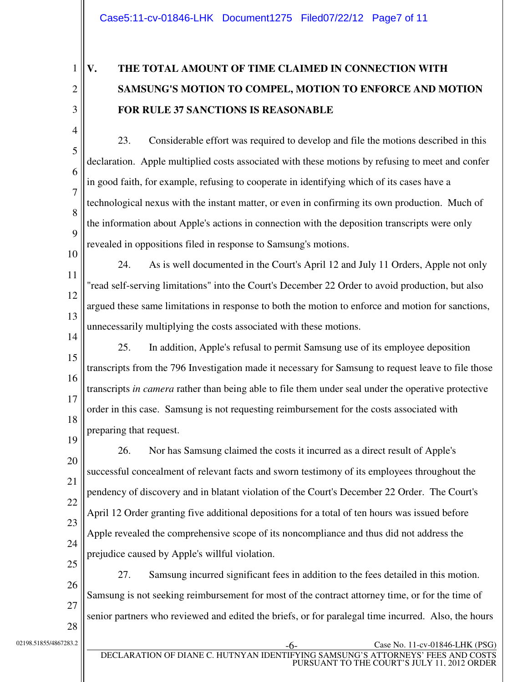1

2

3

4

5

6

7

8

9

# **V. THE TOTAL AMOUNT OF TIME CLAIMED IN CONNECTION WITH SAMSUNG'S MOTION TO COMPEL, MOTION TO ENFORCE AND MOTION FOR RULE 37 SANCTIONS IS REASONABLE**

- 23. Considerable effort was required to develop and file the motions described in this declaration. Apple multiplied costs associated with these motions by refusing to meet and confer in good faith, for example, refusing to cooperate in identifying which of its cases have a technological nexus with the instant matter, or even in confirming its own production. Much of the information about Apple's actions in connection with the deposition transcripts were only revealed in oppositions filed in response to Samsung's motions.
- 10

11

12

13

24. As is well documented in the Court's April 12 and July 11 Orders, Apple not only "read self-serving limitations" into the Court's December 22 Order to avoid production, but also argued these same limitations in response to both the motion to enforce and motion for sanctions, unnecessarily multiplying the costs associated with these motions.

14 15 16 17 18 25. In addition, Apple's refusal to permit Samsung use of its employee deposition transcripts from the 796 Investigation made it necessary for Samsung to request leave to file those transcripts *in camera* rather than being able to file them under seal under the operative protective order in this case.Samsung is not requesting reimbursement for the costs associated with preparing that request.

19 20 21 22 23 24 25 26. Nor has Samsung claimed the costs it incurred as a direct result of Apple's successful concealment of relevant facts and sworn testimony of its employees throughout the pendency of discovery and in blatant violation of the Court's December 22 Order. The Court's April 12 Order granting five additional depositions for a total of ten hours was issued before Apple revealed the comprehensive scope of its noncompliance and thus did not address the prejudice caused by Apple's willful violation.

26 27 27. Samsung incurred significant fees in addition to the fees detailed in this motion. Samsung is not seeking reimbursement for most of the contract attorney time, or for the time of senior partners who reviewed and edited the briefs, or for paralegal time incurred. Also, the hours

28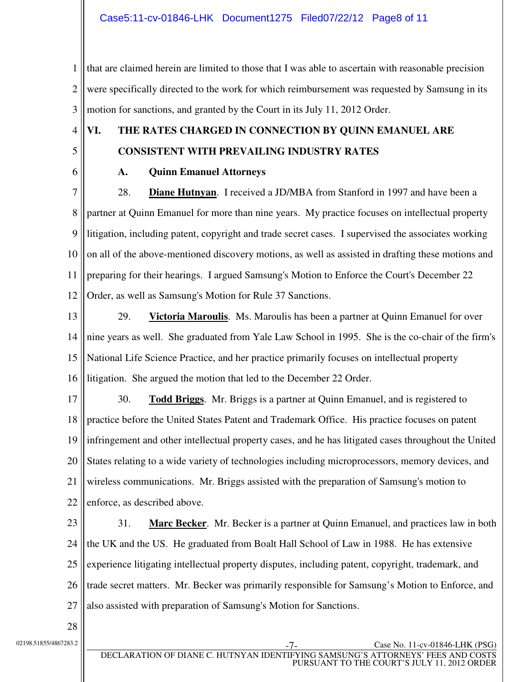1 2 3 that are claimed herein are limited to those that I was able to ascertain with reasonable precision were specifically directed to the work for which reimbursement was requested by Samsung in its motion for sanctions, and granted by the Court in its July 11, 2012 Order.

4 5

## **VI. THE RATES CHARGED IN CONNECTION BY QUINN EMANUEL ARE CONSISTENT WITH PREVAILING INDUSTRY RATES**

6

#### **A. Quinn Emanuel Attorneys**

7 8 9 10 11 12 28. **Diane Hutnyan**. I received a JD/MBA from Stanford in 1997 and have been a partner at Quinn Emanuel for more than nine years. My practice focuses on intellectual property litigation, including patent, copyright and trade secret cases. I supervised the associates working on all of the above-mentioned discovery motions, as well as assisted in drafting these motions and preparing for their hearings. I argued Samsung's Motion to Enforce the Court's December 22 Order, as well as Samsung's Motion for Rule 37 Sanctions.

13

14 15 16 29. **Victoria Maroulis**. Ms. Maroulis has been a partner at Quinn Emanuel for over nine years as well. She graduated from Yale Law School in 1995. She is the co-chair of the firm's National Life Science Practice, and her practice primarily focuses on intellectual property litigation. She argued the motion that led to the December 22 Order.

17 18 19 20 21 22 30. **Todd Briggs**. Mr. Briggs is a partner at Quinn Emanuel, and is registered to practice before the United States Patent and Trademark Office. His practice focuses on patent infringement and other intellectual property cases, and he has litigated cases throughout the United States relating to a wide variety of technologies including microprocessors, memory devices, and wireless communications. Mr. Briggs assisted with the preparation of Samsung's motion to enforce, as described above.

23 24 25 26 27 31. **Marc Becker**. Mr. Becker is a partner at Quinn Emanuel, and practices law in both the UK and the US. He graduated from Boalt Hall School of Law in 1988. He has extensive experience litigating intellectual property disputes, including patent, copyright, trademark, and trade secret matters. Mr. Becker was primarily responsible for Samsung's Motion to Enforce, and also assisted with preparation of Samsung's Motion for Sanctions.

28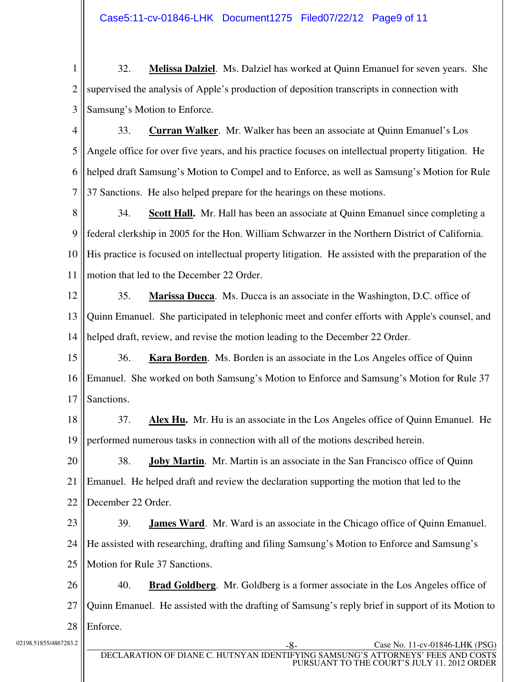Case5:11-cv-01846-LHK Document1275 Filed07/22/12 Page9 of 11

1 2 3 32. **Melissa Dalziel**. Ms. Dalziel has worked at Quinn Emanuel for seven years. She supervised the analysis of Apple's production of deposition transcripts in connection with Samsung's Motion to Enforce.

4 5 6 7 33. **Curran Walker**. Mr. Walker has been an associate at Quinn Emanuel's Los Angele office for over five years, and his practice focuses on intellectual property litigation. He helped draft Samsung's Motion to Compel and to Enforce, as well as Samsung's Motion for Rule 37 Sanctions. He also helped prepare for the hearings on these motions.

8 9 10 11 34. **Scott Hall.** Mr. Hall has been an associate at Quinn Emanuel since completing a federal clerkship in 2005 for the Hon. William Schwarzer in the Northern District of California. His practice is focused on intellectual property litigation. He assisted with the preparation of the motion that led to the December 22 Order.

12 13 14 35. **Marissa Ducca**. Ms. Ducca is an associate in the Washington, D.C. office of Quinn Emanuel. She participated in telephonic meet and confer efforts with Apple's counsel, and helped draft, review, and revise the motion leading to the December 22 Order.

15 16 17 36. **Kara Borden**. Ms. Borden is an associate in the Los Angeles office of Quinn Emanuel. She worked on both Samsung's Motion to Enforce and Samsung's Motion for Rule 37 Sanctions.

18 19 37. **Alex Hu.** Mr. Hu is an associate in the Los Angeles office of Quinn Emanuel. He performed numerous tasks in connection with all of the motions described herein.

20 21 22 38. **Joby Martin**. Mr. Martin is an associate in the San Francisco office of Quinn Emanuel. He helped draft and review the declaration supporting the motion that led to the December 22 Order.

23 24 25 39. **James Ward**. Mr. Ward is an associate in the Chicago office of Quinn Emanuel. He assisted with researching, drafting and filing Samsung's Motion to Enforce and Samsung's Motion for Rule 37 Sanctions.

26 27 28 40. **Brad Goldberg**. Mr. Goldberg is a former associate in the Los Angeles office of Quinn Emanuel. He assisted with the drafting of Samsung's reply brief in support of its Motion to Enforce.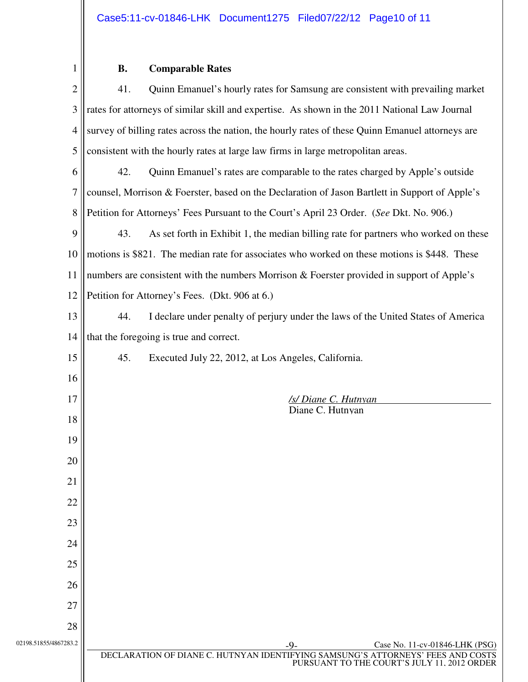### **B. Comparable Rates**

| $\mathbf{2}$          | 41.<br>Quinn Emanuel's hourly rates for Samsung are consistent with prevailing market                                                                                   |  |
|-----------------------|-------------------------------------------------------------------------------------------------------------------------------------------------------------------------|--|
| 3                     | rates for attorneys of similar skill and expertise. As shown in the 2011 National Law Journal                                                                           |  |
| $\overline{4}$        | survey of billing rates across the nation, the hourly rates of these Quinn Emanuel attorneys are                                                                        |  |
| 5                     | consistent with the hourly rates at large law firms in large metropolitan areas.                                                                                        |  |
| 6                     | 42.<br>Quinn Emanuel's rates are comparable to the rates charged by Apple's outside                                                                                     |  |
| $\overline{7}$        | counsel, Morrison & Foerster, based on the Declaration of Jason Bartlett in Support of Apple's                                                                          |  |
| 8                     | Petition for Attorneys' Fees Pursuant to the Court's April 23 Order. (See Dkt. No. 906.)                                                                                |  |
| 9                     | 43.<br>As set forth in Exhibit 1, the median billing rate for partners who worked on these                                                                              |  |
| 10                    | motions is \$821. The median rate for associates who worked on these motions is \$448. These                                                                            |  |
| 11                    | numbers are consistent with the numbers Morrison & Foerster provided in support of Apple's                                                                              |  |
| 12                    | Petition for Attorney's Fees. (Dkt. 906 at 6.)                                                                                                                          |  |
| 13                    | 44.<br>I declare under penalty of perjury under the laws of the United States of America                                                                                |  |
| 14                    | that the foregoing is true and correct.                                                                                                                                 |  |
| 15                    | 45.<br>Executed July 22, 2012, at Los Angeles, California.                                                                                                              |  |
| 16                    |                                                                                                                                                                         |  |
|                       |                                                                                                                                                                         |  |
| 17                    | /s/ Diane C. Hutnyan                                                                                                                                                    |  |
| 18                    | Diane C. Hutnyan                                                                                                                                                        |  |
| 19                    |                                                                                                                                                                         |  |
| 20                    |                                                                                                                                                                         |  |
| 21                    |                                                                                                                                                                         |  |
| 22                    |                                                                                                                                                                         |  |
| 23                    |                                                                                                                                                                         |  |
| 24                    |                                                                                                                                                                         |  |
| 25                    |                                                                                                                                                                         |  |
| 26                    |                                                                                                                                                                         |  |
| 27                    |                                                                                                                                                                         |  |
| 28                    |                                                                                                                                                                         |  |
| 02198.51855/4867283.2 | Case No. 11-cv-01846-LHK (PSG)<br>-9.<br>DECLARATION OF DIANE C. HUTNYAN IDENTIFYING SAMSUNG'S ATTORNEYS' FEES AND COSTS<br>PURSUANT TO THE COURT'S JULY 11, 2012 ORDER |  |